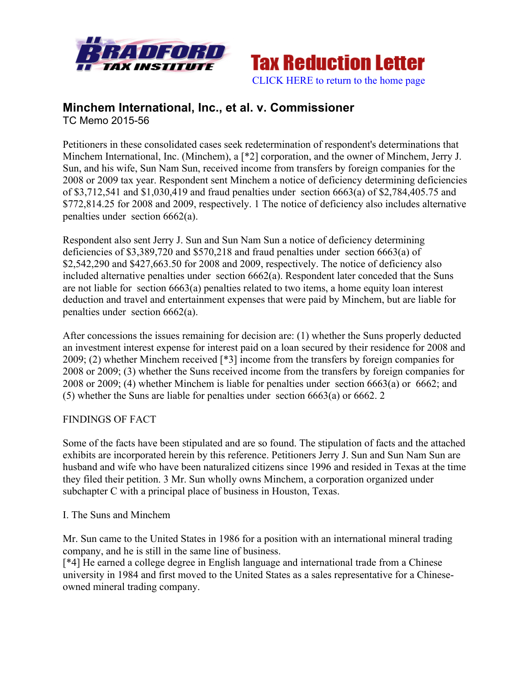



## **Minchem International, Inc., et al. v. Commissioner** TC Memo 2015-56

Petitioners in these consolidated cases seek redetermination of respondent's determinations that Minchem International, Inc. (Minchem), a [\*2] corporation, and the owner of Minchem, Jerry J. Sun, and his wife, Sun Nam Sun, received income from transfers by foreign companies for the 2008 or 2009 tax year. Respondent sent Minchem a notice of deficiency determining deficiencies of \$3,712,541 and \$1,030,419 and fraud penalties under section 6663(a) of \$2,784,405.75 and \$772,814.25 for 2008 and 2009, respectively. 1 The notice of deficiency also includes alternative penalties under section 6662(a).

Respondent also sent Jerry J. Sun and Sun Nam Sun a notice of deficiency determining deficiencies of \$3,389,720 and \$570,218 and fraud penalties under section 6663(a) of \$2,542,290 and \$427,663.50 for 2008 and 2009, respectively. The notice of deficiency also included alternative penalties under section 6662(a). Respondent later conceded that the Suns are not liable for section 6663(a) penalties related to two items, a home equity loan interest deduction and travel and entertainment expenses that were paid by Minchem, but are liable for penalties under section 6662(a).

After concessions the issues remaining for decision are: (1) whether the Suns properly deducted an investment interest expense for interest paid on a loan secured by their residence for 2008 and 2009; (2) whether Minchem received [\*3] income from the transfers by foreign companies for 2008 or 2009; (3) whether the Suns received income from the transfers by foreign companies for 2008 or 2009; (4) whether Minchem is liable for penalties under section 6663(a) or 6662; and (5) whether the Suns are liable for penalties under section 6663(a) or 6662. 2

# FINDINGS OF FACT

Some of the facts have been stipulated and are so found. The stipulation of facts and the attached exhibits are incorporated herein by this reference. Petitioners Jerry J. Sun and Sun Nam Sun are husband and wife who have been naturalized citizens since 1996 and resided in Texas at the time they filed their petition. 3 Mr. Sun wholly owns Minchem, a corporation organized under subchapter C with a principal place of business in Houston, Texas.

#### I. The Suns and Minchem

Mr. Sun came to the United States in 1986 for a position with an international mineral trading company, and he is still in the same line of business.

[\*4] He earned a college degree in English language and international trade from a Chinese university in 1984 and first moved to the United States as a sales representative for a Chineseowned mineral trading company.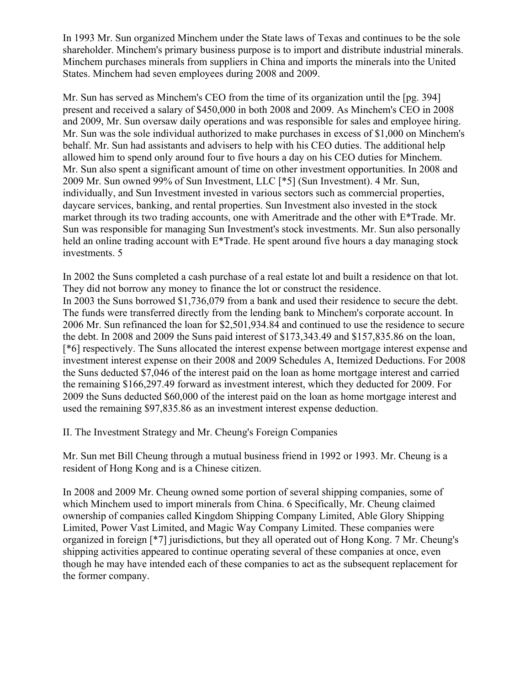In 1993 Mr. Sun organized Minchem under the State laws of Texas and continues to be the sole shareholder. Minchem's primary business purpose is to import and distribute industrial minerals. Minchem purchases minerals from suppliers in China and imports the minerals into the United States. Minchem had seven employees during 2008 and 2009.

Mr. Sun has served as Minchem's CEO from the time of its organization until the [pg. 394] present and received a salary of \$450,000 in both 2008 and 2009. As Minchem's CEO in 2008 and 2009, Mr. Sun oversaw daily operations and was responsible for sales and employee hiring. Mr. Sun was the sole individual authorized to make purchases in excess of \$1,000 on Minchem's behalf. Mr. Sun had assistants and advisers to help with his CEO duties. The additional help allowed him to spend only around four to five hours a day on his CEO duties for Minchem. Mr. Sun also spent a significant amount of time on other investment opportunities. In 2008 and 2009 Mr. Sun owned 99% of Sun Investment, LLC [\*5] (Sun Investment). 4 Mr. Sun, individually, and Sun Investment invested in various sectors such as commercial properties, daycare services, banking, and rental properties. Sun Investment also invested in the stock market through its two trading accounts, one with Ameritrade and the other with E\*Trade. Mr. Sun was responsible for managing Sun Investment's stock investments. Mr. Sun also personally held an online trading account with E<sup>\*</sup>Trade. He spent around five hours a day managing stock investments. 5

In 2002 the Suns completed a cash purchase of a real estate lot and built a residence on that lot. They did not borrow any money to finance the lot or construct the residence. In 2003 the Suns borrowed \$1,736,079 from a bank and used their residence to secure the debt. The funds were transferred directly from the lending bank to Minchem's corporate account. In 2006 Mr. Sun refinanced the loan for \$2,501,934.84 and continued to use the residence to secure the debt. In 2008 and 2009 the Suns paid interest of \$173,343.49 and \$157,835.86 on the loan, [\*6] respectively. The Suns allocated the interest expense between mortgage interest expense and investment interest expense on their 2008 and 2009 Schedules A, Itemized Deductions. For 2008 the Suns deducted \$7,046 of the interest paid on the loan as home mortgage interest and carried the remaining \$166,297.49 forward as investment interest, which they deducted for 2009. For 2009 the Suns deducted \$60,000 of the interest paid on the loan as home mortgage interest and used the remaining \$97,835.86 as an investment interest expense deduction.

II. The Investment Strategy and Mr. Cheung's Foreign Companies

Mr. Sun met Bill Cheung through a mutual business friend in 1992 or 1993. Mr. Cheung is a resident of Hong Kong and is a Chinese citizen.

In 2008 and 2009 Mr. Cheung owned some portion of several shipping companies, some of which Minchem used to import minerals from China. 6 Specifically, Mr. Cheung claimed ownership of companies called Kingdom Shipping Company Limited, Able Glory Shipping Limited, Power Vast Limited, and Magic Way Company Limited. These companies were organized in foreign [\*7] jurisdictions, but they all operated out of Hong Kong. 7 Mr. Cheung's shipping activities appeared to continue operating several of these companies at once, even though he may have intended each of these companies to act as the subsequent replacement for the former company.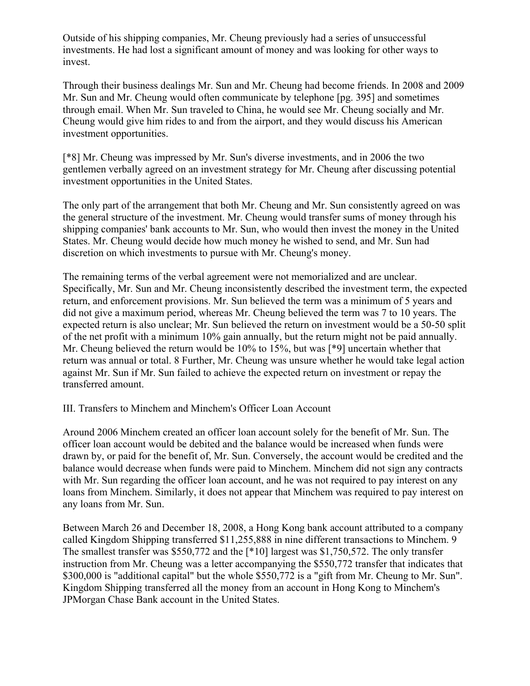Outside of his shipping companies, Mr. Cheung previously had a series of unsuccessful investments. He had lost a significant amount of money and was looking for other ways to invest.

Through their business dealings Mr. Sun and Mr. Cheung had become friends. In 2008 and 2009 Mr. Sun and Mr. Cheung would often communicate by telephone [pg. 395] and sometimes through email. When Mr. Sun traveled to China, he would see Mr. Cheung socially and Mr. Cheung would give him rides to and from the airport, and they would discuss his American investment opportunities.

[\*8] Mr. Cheung was impressed by Mr. Sun's diverse investments, and in 2006 the two gentlemen verbally agreed on an investment strategy for Mr. Cheung after discussing potential investment opportunities in the United States.

The only part of the arrangement that both Mr. Cheung and Mr. Sun consistently agreed on was the general structure of the investment. Mr. Cheung would transfer sums of money through his shipping companies' bank accounts to Mr. Sun, who would then invest the money in the United States. Mr. Cheung would decide how much money he wished to send, and Mr. Sun had discretion on which investments to pursue with Mr. Cheung's money.

The remaining terms of the verbal agreement were not memorialized and are unclear. Specifically, Mr. Sun and Mr. Cheung inconsistently described the investment term, the expected return, and enforcement provisions. Mr. Sun believed the term was a minimum of 5 years and did not give a maximum period, whereas Mr. Cheung believed the term was 7 to 10 years. The expected return is also unclear; Mr. Sun believed the return on investment would be a 50-50 split of the net profit with a minimum 10% gain annually, but the return might not be paid annually. Mr. Cheung believed the return would be 10% to 15%, but was [\*9] uncertain whether that return was annual or total. 8 Further, Mr. Cheung was unsure whether he would take legal action against Mr. Sun if Mr. Sun failed to achieve the expected return on investment or repay the transferred amount.

# III. Transfers to Minchem and Minchem's Officer Loan Account

Around 2006 Minchem created an officer loan account solely for the benefit of Mr. Sun. The officer loan account would be debited and the balance would be increased when funds were drawn by, or paid for the benefit of, Mr. Sun. Conversely, the account would be credited and the balance would decrease when funds were paid to Minchem. Minchem did not sign any contracts with Mr. Sun regarding the officer loan account, and he was not required to pay interest on any loans from Minchem. Similarly, it does not appear that Minchem was required to pay interest on any loans from Mr. Sun.

Between March 26 and December 18, 2008, a Hong Kong bank account attributed to a company called Kingdom Shipping transferred \$11,255,888 in nine different transactions to Minchem. 9 The smallest transfer was \$550,772 and the [\*10] largest was \$1,750,572. The only transfer instruction from Mr. Cheung was a letter accompanying the \$550,772 transfer that indicates that \$300,000 is "additional capital" but the whole \$550,772 is a "gift from Mr. Cheung to Mr. Sun". Kingdom Shipping transferred all the money from an account in Hong Kong to Minchem's JPMorgan Chase Bank account in the United States.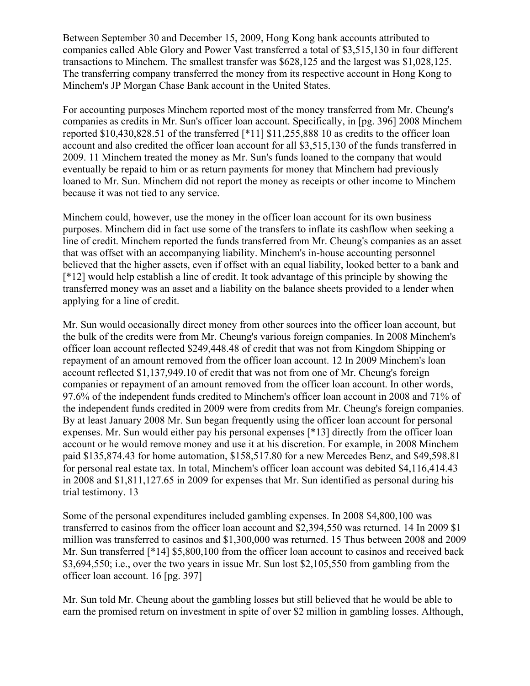Between September 30 and December 15, 2009, Hong Kong bank accounts attributed to companies called Able Glory and Power Vast transferred a total of \$3,515,130 in four different transactions to Minchem. The smallest transfer was \$628,125 and the largest was \$1,028,125. The transferring company transferred the money from its respective account in Hong Kong to Minchem's JP Morgan Chase Bank account in the United States.

For accounting purposes Minchem reported most of the money transferred from Mr. Cheung's companies as credits in Mr. Sun's officer loan account. Specifically, in [pg. 396] 2008 Minchem reported \$10,430,828.51 of the transferred [\*11] \$11,255,888 10 as credits to the officer loan account and also credited the officer loan account for all \$3,515,130 of the funds transferred in 2009. 11 Minchem treated the money as Mr. Sun's funds loaned to the company that would eventually be repaid to him or as return payments for money that Minchem had previously loaned to Mr. Sun. Minchem did not report the money as receipts or other income to Minchem because it was not tied to any service.

Minchem could, however, use the money in the officer loan account for its own business purposes. Minchem did in fact use some of the transfers to inflate its cashflow when seeking a line of credit. Minchem reported the funds transferred from Mr. Cheung's companies as an asset that was offset with an accompanying liability. Minchem's in-house accounting personnel believed that the higher assets, even if offset with an equal liability, looked better to a bank and [\*12] would help establish a line of credit. It took advantage of this principle by showing the transferred money was an asset and a liability on the balance sheets provided to a lender when applying for a line of credit.

Mr. Sun would occasionally direct money from other sources into the officer loan account, but the bulk of the credits were from Mr. Cheung's various foreign companies. In 2008 Minchem's officer loan account reflected \$249,448.48 of credit that was not from Kingdom Shipping or repayment of an amount removed from the officer loan account. 12 In 2009 Minchem's loan account reflected \$1,137,949.10 of credit that was not from one of Mr. Cheung's foreign companies or repayment of an amount removed from the officer loan account. In other words, 97.6% of the independent funds credited to Minchem's officer loan account in 2008 and 71% of the independent funds credited in 2009 were from credits from Mr. Cheung's foreign companies. By at least January 2008 Mr. Sun began frequently using the officer loan account for personal expenses. Mr. Sun would either pay his personal expenses [\*13] directly from the officer loan account or he would remove money and use it at his discretion. For example, in 2008 Minchem paid \$135,874.43 for home automation, \$158,517.80 for a new Mercedes Benz, and \$49,598.81 for personal real estate tax. In total, Minchem's officer loan account was debited \$4,116,414.43 in 2008 and \$1,811,127.65 in 2009 for expenses that Mr. Sun identified as personal during his trial testimony. 13

Some of the personal expenditures included gambling expenses. In 2008 \$4,800,100 was transferred to casinos from the officer loan account and \$2,394,550 was returned. 14 In 2009 \$1 million was transferred to casinos and \$1,300,000 was returned. 15 Thus between 2008 and 2009 Mr. Sun transferred [\*14] \$5,800,100 from the officer loan account to casinos and received back \$3,694,550; i.e., over the two years in issue Mr. Sun lost \$2,105,550 from gambling from the officer loan account. 16 [pg. 397]

Mr. Sun told Mr. Cheung about the gambling losses but still believed that he would be able to earn the promised return on investment in spite of over \$2 million in gambling losses. Although,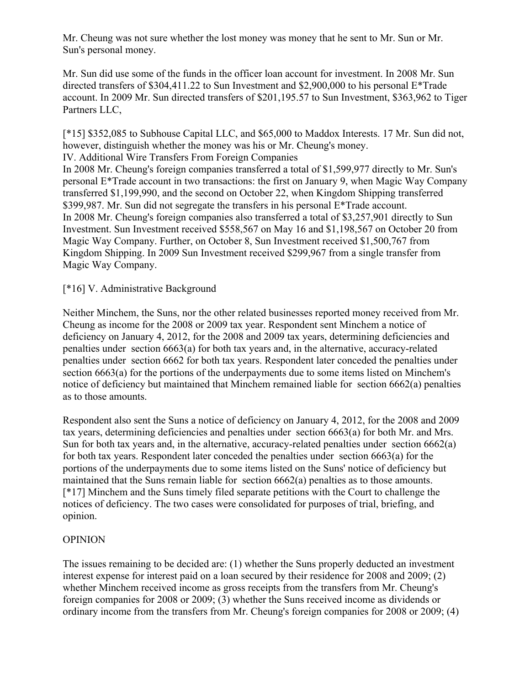Mr. Cheung was not sure whether the lost money was money that he sent to Mr. Sun or Mr. Sun's personal money.

Mr. Sun did use some of the funds in the officer loan account for investment. In 2008 Mr. Sun directed transfers of \$304,411.22 to Sun Investment and \$2,900,000 to his personal E\*Trade account. In 2009 Mr. Sun directed transfers of \$201,195.57 to Sun Investment, \$363,962 to Tiger Partners LLC,

[\*15] \$352,085 to Subhouse Capital LLC, and \$65,000 to Maddox Interests. 17 Mr. Sun did not, however, distinguish whether the money was his or Mr. Cheung's money.

IV. Additional Wire Transfers From Foreign Companies

In 2008 Mr. Cheung's foreign companies transferred a total of \$1,599,977 directly to Mr. Sun's personal E\*Trade account in two transactions: the first on January 9, when Magic Way Company transferred \$1,199,990, and the second on October 22, when Kingdom Shipping transferred \$399,987. Mr. Sun did not segregate the transfers in his personal E\*Trade account. In 2008 Mr. Cheung's foreign companies also transferred a total of \$3,257,901 directly to Sun Investment. Sun Investment received \$558,567 on May 16 and \$1,198,567 on October 20 from Magic Way Company. Further, on October 8, Sun Investment received \$1,500,767 from Kingdom Shipping. In 2009 Sun Investment received \$299,967 from a single transfer from Magic Way Company.

[\*16] V. Administrative Background

Neither Minchem, the Suns, nor the other related businesses reported money received from Mr. Cheung as income for the 2008 or 2009 tax year. Respondent sent Minchem a notice of deficiency on January 4, 2012, for the 2008 and 2009 tax years, determining deficiencies and penalties under section 6663(a) for both tax years and, in the alternative, accuracy-related penalties under section 6662 for both tax years. Respondent later conceded the penalties under section 6663(a) for the portions of the underpayments due to some items listed on Minchem's notice of deficiency but maintained that Minchem remained liable for section 6662(a) penalties as to those amounts.

Respondent also sent the Suns a notice of deficiency on January 4, 2012, for the 2008 and 2009 tax years, determining deficiencies and penalties under section 6663(a) for both Mr. and Mrs. Sun for both tax years and, in the alternative, accuracy-related penalties under section 6662(a) for both tax years. Respondent later conceded the penalties under section 6663(a) for the portions of the underpayments due to some items listed on the Suns' notice of deficiency but maintained that the Suns remain liable for section 6662(a) penalties as to those amounts. [\*17] Minchem and the Suns timely filed separate petitions with the Court to challenge the notices of deficiency. The two cases were consolidated for purposes of trial, briefing, and opinion.

# OPINION

The issues remaining to be decided are: (1) whether the Suns properly deducted an investment interest expense for interest paid on a loan secured by their residence for 2008 and 2009; (2) whether Minchem received income as gross receipts from the transfers from Mr. Cheung's foreign companies for 2008 or 2009; (3) whether the Suns received income as dividends or ordinary income from the transfers from Mr. Cheung's foreign companies for 2008 or 2009; (4)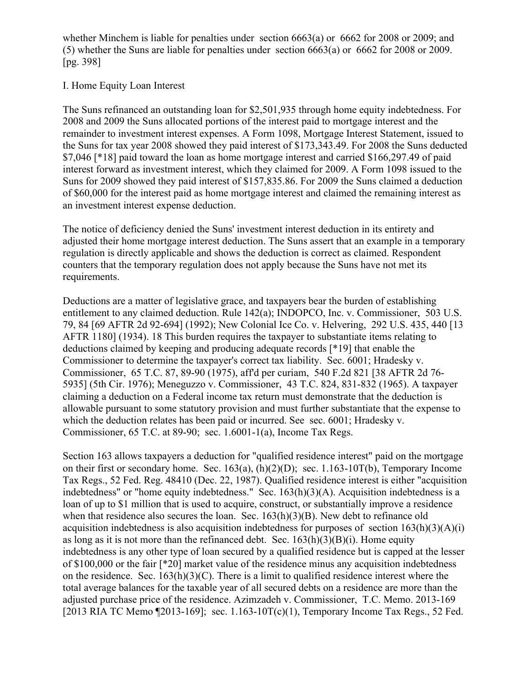whether Minchem is liable for penalties under section 6663(a) or 6662 for 2008 or 2009; and (5) whether the Suns are liable for penalties under section 6663(a) or 6662 for 2008 or 2009. [pg. 398]

## I. Home Equity Loan Interest

The Suns refinanced an outstanding loan for \$2,501,935 through home equity indebtedness. For 2008 and 2009 the Suns allocated portions of the interest paid to mortgage interest and the remainder to investment interest expenses. A Form 1098, Mortgage Interest Statement, issued to the Suns for tax year 2008 showed they paid interest of \$173,343.49. For 2008 the Suns deducted \$7,046 [\*18] paid toward the loan as home mortgage interest and carried \$166,297.49 of paid interest forward as investment interest, which they claimed for 2009. A Form 1098 issued to the Suns for 2009 showed they paid interest of \$157,835.86. For 2009 the Suns claimed a deduction of \$60,000 for the interest paid as home mortgage interest and claimed the remaining interest as an investment interest expense deduction.

The notice of deficiency denied the Suns' investment interest deduction in its entirety and adjusted their home mortgage interest deduction. The Suns assert that an example in a temporary regulation is directly applicable and shows the deduction is correct as claimed. Respondent counters that the temporary regulation does not apply because the Suns have not met its requirements.

Deductions are a matter of legislative grace, and taxpayers bear the burden of establishing entitlement to any claimed deduction. Rule 142(a); INDOPCO, Inc. v. Commissioner, 503 U.S. 79, 84 [69 AFTR 2d 92-694] (1992); New Colonial Ice Co. v. Helvering, 292 U.S. 435, 440 [13 AFTR 1180] (1934). 18 This burden requires the taxpayer to substantiate items relating to deductions claimed by keeping and producing adequate records [\*19] that enable the Commissioner to determine the taxpayer's correct tax liability. Sec. 6001; Hradesky v. Commissioner, 65 T.C. 87, 89-90 (1975), aff'd per curiam, 540 F.2d 821 [38 AFTR 2d 76- 5935] (5th Cir. 1976); Meneguzzo v. Commissioner, 43 T.C. 824, 831-832 (1965). A taxpayer claiming a deduction on a Federal income tax return must demonstrate that the deduction is allowable pursuant to some statutory provision and must further substantiate that the expense to which the deduction relates has been paid or incurred. See sec. 6001; Hradesky v. Commissioner, 65 T.C. at 89-90; sec. 1.6001-1(a), Income Tax Regs.

Section 163 allows taxpayers a deduction for "qualified residence interest" paid on the mortgage on their first or secondary home. Sec. 163(a), (h)(2)(D); sec. 1.163-10T(b), Temporary Income Tax Regs., 52 Fed. Reg. 48410 (Dec. 22, 1987). Qualified residence interest is either "acquisition indebtedness" or "home equity indebtedness." Sec. 163(h)(3)(A). Acquisition indebtedness is a loan of up to \$1 million that is used to acquire, construct, or substantially improve a residence when that residence also secures the loan. Sec.  $163(h)(3)(B)$ . New debt to refinance old acquisition indebtedness is also acquisition indebtedness for purposes of section  $163(h)(3)(A)(i)$ as long as it is not more than the refinanced debt. Sec.  $163(h)(3)(B)(i)$ . Home equity indebtedness is any other type of loan secured by a qualified residence but is capped at the lesser of \$100,000 or the fair [\*20] market value of the residence minus any acquisition indebtedness on the residence. Sec.  $163(h)(3)(C)$ . There is a limit to qualified residence interest where the total average balances for the taxable year of all secured debts on a residence are more than the adjusted purchase price of the residence. Azimzadeh v. Commissioner, T.C. Memo. 2013-169 [2013 RIA TC Memo [2013-169]; sec. 1.163-10T(c)(1), Temporary Income Tax Regs., 52 Fed.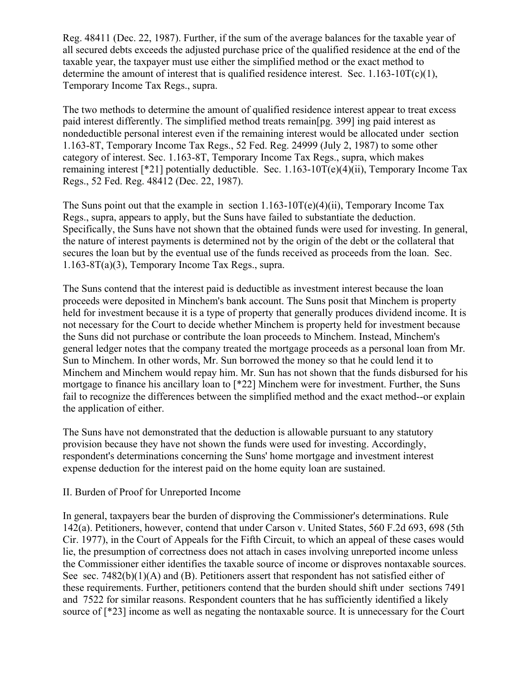Reg. 48411 (Dec. 22, 1987). Further, if the sum of the average balances for the taxable year of all secured debts exceeds the adjusted purchase price of the qualified residence at the end of the taxable year, the taxpayer must use either the simplified method or the exact method to determine the amount of interest that is qualified residence interest. Sec.  $1.163-10T(c)(1)$ , Temporary Income Tax Regs., supra.

The two methods to determine the amount of qualified residence interest appear to treat excess paid interest differently. The simplified method treats remain[pg. 399] ing paid interest as nondeductible personal interest even if the remaining interest would be allocated under section 1.163-8T, Temporary Income Tax Regs., 52 Fed. Reg. 24999 (July 2, 1987) to some other category of interest. Sec. 1.163-8T, Temporary Income Tax Regs., supra, which makes remaining interest [\*21] potentially deductible. Sec.  $1.163-10T(e)(4)(ii)$ , Temporary Income Tax Regs., 52 Fed. Reg. 48412 (Dec. 22, 1987).

The Suns point out that the example in section  $1.163-10T(e)(4)(ii)$ , Temporary Income Tax Regs., supra, appears to apply, but the Suns have failed to substantiate the deduction. Specifically, the Suns have not shown that the obtained funds were used for investing. In general, the nature of interest payments is determined not by the origin of the debt or the collateral that secures the loan but by the eventual use of the funds received as proceeds from the loan. Sec. 1.163-8T(a)(3), Temporary Income Tax Regs., supra.

The Suns contend that the interest paid is deductible as investment interest because the loan proceeds were deposited in Minchem's bank account. The Suns posit that Minchem is property held for investment because it is a type of property that generally produces dividend income. It is not necessary for the Court to decide whether Minchem is property held for investment because the Suns did not purchase or contribute the loan proceeds to Minchem. Instead, Minchem's general ledger notes that the company treated the mortgage proceeds as a personal loan from Mr. Sun to Minchem. In other words, Mr. Sun borrowed the money so that he could lend it to Minchem and Minchem would repay him. Mr. Sun has not shown that the funds disbursed for his mortgage to finance his ancillary loan to [\*22] Minchem were for investment. Further, the Suns fail to recognize the differences between the simplified method and the exact method--or explain the application of either.

The Suns have not demonstrated that the deduction is allowable pursuant to any statutory provision because they have not shown the funds were used for investing. Accordingly, respondent's determinations concerning the Suns' home mortgage and investment interest expense deduction for the interest paid on the home equity loan are sustained.

#### II. Burden of Proof for Unreported Income

In general, taxpayers bear the burden of disproving the Commissioner's determinations. Rule 142(a). Petitioners, however, contend that under Carson v. United States, 560 F.2d 693, 698 (5th Cir. 1977), in the Court of Appeals for the Fifth Circuit, to which an appeal of these cases would lie, the presumption of correctness does not attach in cases involving unreported income unless the Commissioner either identifies the taxable source of income or disproves nontaxable sources. See sec. 7482(b)(1)(A) and (B). Petitioners assert that respondent has not satisfied either of these requirements. Further, petitioners contend that the burden should shift under sections 7491 and 7522 for similar reasons. Respondent counters that he has sufficiently identified a likely source of [\*23] income as well as negating the nontaxable source. It is unnecessary for the Court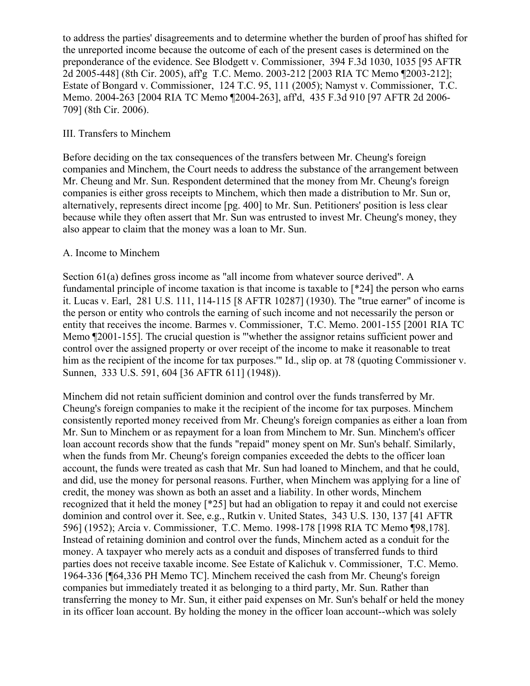to address the parties' disagreements and to determine whether the burden of proof has shifted for the unreported income because the outcome of each of the present cases is determined on the preponderance of the evidence. See Blodgett v. Commissioner, 394 F.3d 1030, 1035 [95 AFTR 2d 2005-448] (8th Cir. 2005), aff'g T.C. Memo. 2003-212 [2003 RIA TC Memo ¶2003-212]; Estate of Bongard v. Commissioner, 124 T.C. 95, 111 (2005); Namyst v. Commissioner, T.C. Memo. 2004-263 [2004 RIA TC Memo ¶2004-263], aff'd, 435 F.3d 910 [97 AFTR 2d 2006- 709] (8th Cir. 2006).

## III. Transfers to Minchem

Before deciding on the tax consequences of the transfers between Mr. Cheung's foreign companies and Minchem, the Court needs to address the substance of the arrangement between Mr. Cheung and Mr. Sun. Respondent determined that the money from Mr. Cheung's foreign companies is either gross receipts to Minchem, which then made a distribution to Mr. Sun or, alternatively, represents direct income [pg. 400] to Mr. Sun. Petitioners' position is less clear because while they often assert that Mr. Sun was entrusted to invest Mr. Cheung's money, they also appear to claim that the money was a loan to Mr. Sun.

## A. Income to Minchem

Section 61(a) defines gross income as "all income from whatever source derived". A fundamental principle of income taxation is that income is taxable to [\*24] the person who earns it. Lucas v. Earl, 281 U.S. 111, 114-115 [8 AFTR 10287] (1930). The "true earner" of income is the person or entity who controls the earning of such income and not necessarily the person or entity that receives the income. Barmes v. Commissioner, T.C. Memo. 2001-155 [2001 RIA TC Memo ¶2001-155]. The crucial question is "'whether the assignor retains sufficient power and control over the assigned property or over receipt of the income to make it reasonable to treat him as the recipient of the income for tax purposes." Id., slip op. at 78 (quoting Commissioner v. Sunnen, 333 U.S. 591, 604 [36 AFTR 611] (1948)).

Minchem did not retain sufficient dominion and control over the funds transferred by Mr. Cheung's foreign companies to make it the recipient of the income for tax purposes. Minchem consistently reported money received from Mr. Cheung's foreign companies as either a loan from Mr. Sun to Minchem or as repayment for a loan from Minchem to Mr. Sun. Minchem's officer loan account records show that the funds "repaid" money spent on Mr. Sun's behalf. Similarly, when the funds from Mr. Cheung's foreign companies exceeded the debts to the officer loan account, the funds were treated as cash that Mr. Sun had loaned to Minchem, and that he could, and did, use the money for personal reasons. Further, when Minchem was applying for a line of credit, the money was shown as both an asset and a liability. In other words, Minchem recognized that it held the money [\*25] but had an obligation to repay it and could not exercise dominion and control over it. See, e.g., Rutkin v. United States, 343 U.S. 130, 137 [41 AFTR 596] (1952); Arcia v. Commissioner, T.C. Memo. 1998-178 [1998 RIA TC Memo ¶98,178]. Instead of retaining dominion and control over the funds, Minchem acted as a conduit for the money. A taxpayer who merely acts as a conduit and disposes of transferred funds to third parties does not receive taxable income. See Estate of Kalichuk v. Commissioner, T.C. Memo. 1964-336 [¶64,336 PH Memo TC]. Minchem received the cash from Mr. Cheung's foreign companies but immediately treated it as belonging to a third party, Mr. Sun. Rather than transferring the money to Mr. Sun, it either paid expenses on Mr. Sun's behalf or held the money in its officer loan account. By holding the money in the officer loan account--which was solely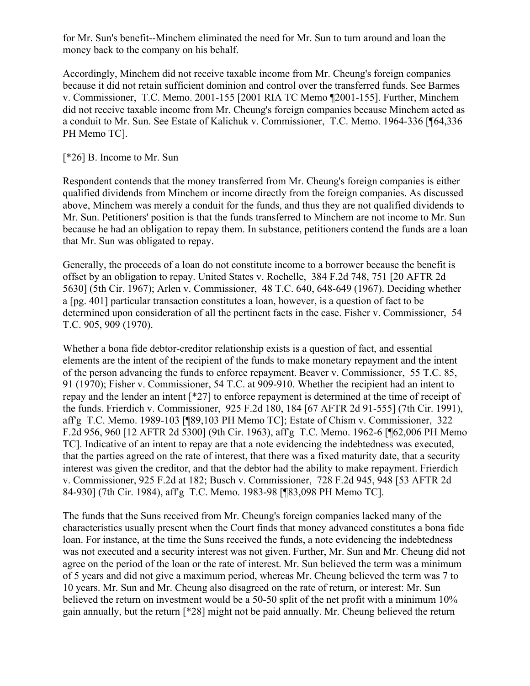for Mr. Sun's benefit--Minchem eliminated the need for Mr. Sun to turn around and loan the money back to the company on his behalf.

Accordingly, Minchem did not receive taxable income from Mr. Cheung's foreign companies because it did not retain sufficient dominion and control over the transferred funds. See Barmes v. Commissioner, T.C. Memo. 2001-155 [2001 RIA TC Memo ¶2001-155]. Further, Minchem did not receive taxable income from Mr. Cheung's foreign companies because Minchem acted as a conduit to Mr. Sun. See Estate of Kalichuk v. Commissioner, T.C. Memo. 1964-336 [¶64,336 PH Memo TC].

## [\*26] B. Income to Mr. Sun

Respondent contends that the money transferred from Mr. Cheung's foreign companies is either qualified dividends from Minchem or income directly from the foreign companies. As discussed above, Minchem was merely a conduit for the funds, and thus they are not qualified dividends to Mr. Sun. Petitioners' position is that the funds transferred to Minchem are not income to Mr. Sun because he had an obligation to repay them. In substance, petitioners contend the funds are a loan that Mr. Sun was obligated to repay.

Generally, the proceeds of a loan do not constitute income to a borrower because the benefit is offset by an obligation to repay. United States v. Rochelle, 384 F.2d 748, 751 [20 AFTR 2d 5630] (5th Cir. 1967); Arlen v. Commissioner, 48 T.C. 640, 648-649 (1967). Deciding whether a [pg. 401] particular transaction constitutes a loan, however, is a question of fact to be determined upon consideration of all the pertinent facts in the case. Fisher v. Commissioner, 54 T.C. 905, 909 (1970).

Whether a bona fide debtor-creditor relationship exists is a question of fact, and essential elements are the intent of the recipient of the funds to make monetary repayment and the intent of the person advancing the funds to enforce repayment. Beaver v. Commissioner, 55 T.C. 85, 91 (1970); Fisher v. Commissioner, 54 T.C. at 909-910. Whether the recipient had an intent to repay and the lender an intent [\*27] to enforce repayment is determined at the time of receipt of the funds. Frierdich v. Commissioner, 925 F.2d 180, 184 [67 AFTR 2d 91-555] (7th Cir. 1991), aff'g T.C. Memo. 1989-103 [¶89,103 PH Memo TC]; Estate of Chism v. Commissioner, 322 F.2d 956, 960 [12 AFTR 2d 5300] (9th Cir. 1963), affg T.C. Memo. 1962-6 [¶62,006 PH Memo TC]. Indicative of an intent to repay are that a note evidencing the indebtedness was executed, that the parties agreed on the rate of interest, that there was a fixed maturity date, that a security interest was given the creditor, and that the debtor had the ability to make repayment. Frierdich v. Commissioner, 925 F.2d at 182; Busch v. Commissioner, 728 F.2d 945, 948 [53 AFTR 2d 84-930] (7th Cir. 1984), aff'g T.C. Memo. 1983-98 [¶83,098 PH Memo TC].

The funds that the Suns received from Mr. Cheung's foreign companies lacked many of the characteristics usually present when the Court finds that money advanced constitutes a bona fide loan. For instance, at the time the Suns received the funds, a note evidencing the indebtedness was not executed and a security interest was not given. Further, Mr. Sun and Mr. Cheung did not agree on the period of the loan or the rate of interest. Mr. Sun believed the term was a minimum of 5 years and did not give a maximum period, whereas Mr. Cheung believed the term was 7 to 10 years. Mr. Sun and Mr. Cheung also disagreed on the rate of return, or interest: Mr. Sun believed the return on investment would be a 50-50 split of the net profit with a minimum 10% gain annually, but the return [\*28] might not be paid annually. Mr. Cheung believed the return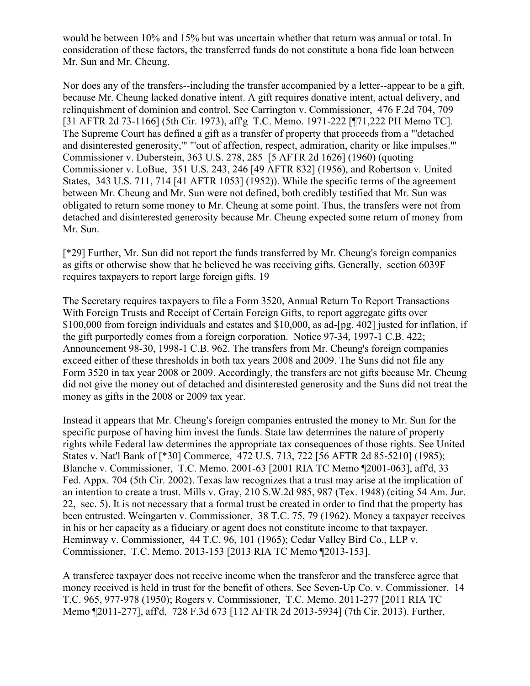would be between 10% and 15% but was uncertain whether that return was annual or total. In consideration of these factors, the transferred funds do not constitute a bona fide loan between Mr. Sun and Mr. Cheung.

Nor does any of the transfers--including the transfer accompanied by a letter--appear to be a gift, because Mr. Cheung lacked donative intent. A gift requires donative intent, actual delivery, and relinquishment of dominion and control. See Carrington v. Commissioner, 476 F.2d 704, 709 [31 AFTR 2d 73-1166] (5th Cir. 1973), aff'g T.C. Memo. 1971-222 [¶71,222 PH Memo TC]. The Supreme Court has defined a gift as a transfer of property that proceeds from a "'detached and disinterested generosity,'" "'out of affection, respect, admiration, charity or like impulses."' Commissioner v. Duberstein, 363 U.S. 278, 285 [5 AFTR 2d 1626] (1960) (quoting Commissioner v. LoBue, 351 U.S. 243, 246 [49 AFTR 832] (1956), and Robertson v. United States, 343 U.S. 711, 714 [41 AFTR 1053] (1952)). While the specific terms of the agreement between Mr. Cheung and Mr. Sun were not defined, both credibly testified that Mr. Sun was obligated to return some money to Mr. Cheung at some point. Thus, the transfers were not from detached and disinterested generosity because Mr. Cheung expected some return of money from Mr. Sun.

[\*29] Further, Mr. Sun did not report the funds transferred by Mr. Cheung's foreign companies as gifts or otherwise show that he believed he was receiving gifts. Generally, section 6039F requires taxpayers to report large foreign gifts. 19

The Secretary requires taxpayers to file a Form 3520, Annual Return To Report Transactions With Foreign Trusts and Receipt of Certain Foreign Gifts, to report aggregate gifts over \$100,000 from foreign individuals and estates and \$10,000, as ad-[pg. 402] justed for inflation, if the gift purportedly comes from a foreign corporation. Notice 97-34, 1997-1 C.B. 422; Announcement 98-30, 1998-1 C.B. 962. The transfers from Mr. Cheung's foreign companies exceed either of these thresholds in both tax years 2008 and 2009. The Suns did not file any Form 3520 in tax year 2008 or 2009. Accordingly, the transfers are not gifts because Mr. Cheung did not give the money out of detached and disinterested generosity and the Suns did not treat the money as gifts in the 2008 or 2009 tax year.

Instead it appears that Mr. Cheung's foreign companies entrusted the money to Mr. Sun for the specific purpose of having him invest the funds. State law determines the nature of property rights while Federal law determines the appropriate tax consequences of those rights. See United States v. Nat'l Bank of [\*30] Commerce, 472 U.S. 713, 722 [56 AFTR 2d 85-5210] (1985); Blanche v. Commissioner, T.C. Memo. 2001-63 [2001 RIA TC Memo ¶2001-063], aff'd, 33 Fed. Appx. 704 (5th Cir. 2002). Texas law recognizes that a trust may arise at the implication of an intention to create a trust. Mills v. Gray, 210 S.W.2d 985, 987 (Tex. 1948) (citing 54 Am. Jur. 22, sec. 5). It is not necessary that a formal trust be created in order to find that the property has been entrusted. Weingarten v. Commissioner, 38 T.C. 75, 79 (1962). Money a taxpayer receives in his or her capacity as a fiduciary or agent does not constitute income to that taxpayer. Heminway v. Commissioner, 44 T.C. 96, 101 (1965); Cedar Valley Bird Co., LLP v. Commissioner, T.C. Memo. 2013-153 [2013 RIA TC Memo ¶2013-153].

A transferee taxpayer does not receive income when the transferor and the transferee agree that money received is held in trust for the benefit of others. See Seven-Up Co. v. Commissioner, 14 T.C. 965, 977-978 (1950); Rogers v. Commissioner, T.C. Memo. 2011-277 [2011 RIA TC Memo ¶2011-277], aff'd, 728 F.3d 673 [112 AFTR 2d 2013-5934] (7th Cir. 2013). Further,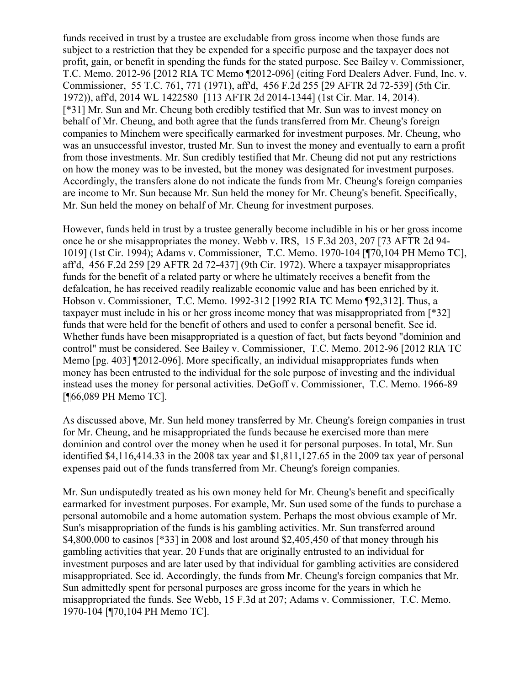funds received in trust by a trustee are excludable from gross income when those funds are subject to a restriction that they be expended for a specific purpose and the taxpayer does not profit, gain, or benefit in spending the funds for the stated purpose. See Bailey v. Commissioner, T.C. Memo. 2012-96 [2012 RIA TC Memo ¶2012-096] (citing Ford Dealers Adver. Fund, Inc. v. Commissioner, 55 T.C. 761, 771 (1971), aff'd, 456 F.2d 255 [29 AFTR 2d 72-539] (5th Cir. 1972)), aff'd, 2014 WL 1422580 [113 AFTR 2d 2014-1344] (1st Cir. Mar. 14, 2014). [\*31] Mr. Sun and Mr. Cheung both credibly testified that Mr. Sun was to invest money on behalf of Mr. Cheung, and both agree that the funds transferred from Mr. Cheung's foreign companies to Minchem were specifically earmarked for investment purposes. Mr. Cheung, who was an unsuccessful investor, trusted Mr. Sun to invest the money and eventually to earn a profit from those investments. Mr. Sun credibly testified that Mr. Cheung did not put any restrictions on how the money was to be invested, but the money was designated for investment purposes. Accordingly, the transfers alone do not indicate the funds from Mr. Cheung's foreign companies are income to Mr. Sun because Mr. Sun held the money for Mr. Cheung's benefit. Specifically, Mr. Sun held the money on behalf of Mr. Cheung for investment purposes.

However, funds held in trust by a trustee generally become includible in his or her gross income once he or she misappropriates the money. Webb v. IRS, 15 F.3d 203, 207 [73 AFTR 2d 94- 1019] (1st Cir. 1994); Adams v. Commissioner, T.C. Memo. 1970-104 [¶70,104 PH Memo TC], aff'd, 456 F.2d 259 [29 AFTR 2d 72-437] (9th Cir. 1972). Where a taxpayer misappropriates funds for the benefit of a related party or where he ultimately receives a benefit from the defalcation, he has received readily realizable economic value and has been enriched by it. Hobson v. Commissioner, T.C. Memo. 1992-312 [1992 RIA TC Memo ¶92,312]. Thus, a taxpayer must include in his or her gross income money that was misappropriated from [\*32] funds that were held for the benefit of others and used to confer a personal benefit. See id. Whether funds have been misappropriated is a question of fact, but facts beyond "dominion and control" must be considered. See Bailey v. Commissioner, T.C. Memo. 2012-96 [2012 RIA TC Memo [pg. 403] ¶2012-096]. More specifically, an individual misappropriates funds when money has been entrusted to the individual for the sole purpose of investing and the individual instead uses the money for personal activities. DeGoff v. Commissioner, T.C. Memo. 1966-89 [¶66,089 PH Memo TC].

As discussed above, Mr. Sun held money transferred by Mr. Cheung's foreign companies in trust for Mr. Cheung, and he misappropriated the funds because he exercised more than mere dominion and control over the money when he used it for personal purposes. In total, Mr. Sun identified \$4,116,414.33 in the 2008 tax year and \$1,811,127.65 in the 2009 tax year of personal expenses paid out of the funds transferred from Mr. Cheung's foreign companies.

Mr. Sun undisputedly treated as his own money held for Mr. Cheung's benefit and specifically earmarked for investment purposes. For example, Mr. Sun used some of the funds to purchase a personal automobile and a home automation system. Perhaps the most obvious example of Mr. Sun's misappropriation of the funds is his gambling activities. Mr. Sun transferred around \$4,800,000 to casinos [\*33] in 2008 and lost around \$2,405,450 of that money through his gambling activities that year. 20 Funds that are originally entrusted to an individual for investment purposes and are later used by that individual for gambling activities are considered misappropriated. See id. Accordingly, the funds from Mr. Cheung's foreign companies that Mr. Sun admittedly spent for personal purposes are gross income for the years in which he misappropriated the funds. See Webb, 15 F.3d at 207; Adams v. Commissioner, T.C. Memo. 1970-104 [¶70,104 PH Memo TC].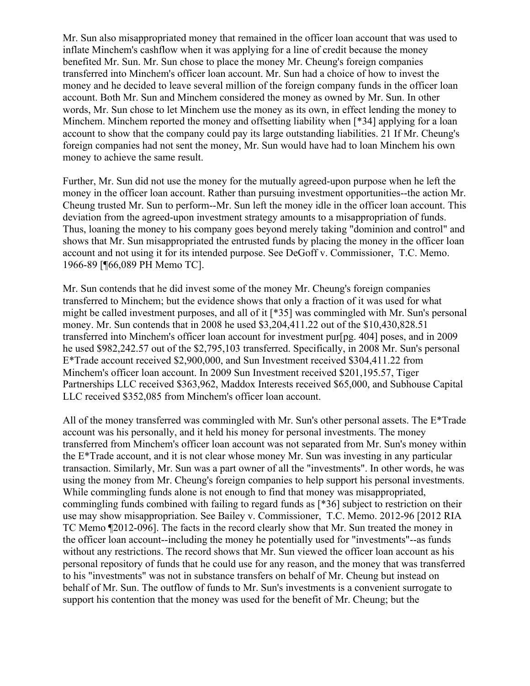Mr. Sun also misappropriated money that remained in the officer loan account that was used to inflate Minchem's cashflow when it was applying for a line of credit because the money benefited Mr. Sun. Mr. Sun chose to place the money Mr. Cheung's foreign companies transferred into Minchem's officer loan account. Mr. Sun had a choice of how to invest the money and he decided to leave several million of the foreign company funds in the officer loan account. Both Mr. Sun and Minchem considered the money as owned by Mr. Sun. In other words, Mr. Sun chose to let Minchem use the money as its own, in effect lending the money to Minchem. Minchem reported the money and offsetting liability when [\*34] applying for a loan account to show that the company could pay its large outstanding liabilities. 21 If Mr. Cheung's foreign companies had not sent the money, Mr. Sun would have had to loan Minchem his own money to achieve the same result.

Further, Mr. Sun did not use the money for the mutually agreed-upon purpose when he left the money in the officer loan account. Rather than pursuing investment opportunities--the action Mr. Cheung trusted Mr. Sun to perform--Mr. Sun left the money idle in the officer loan account. This deviation from the agreed-upon investment strategy amounts to a misappropriation of funds. Thus, loaning the money to his company goes beyond merely taking "dominion and control" and shows that Mr. Sun misappropriated the entrusted funds by placing the money in the officer loan account and not using it for its intended purpose. See DeGoff v. Commissioner, T.C. Memo. 1966-89 [¶66,089 PH Memo TC].

Mr. Sun contends that he did invest some of the money Mr. Cheung's foreign companies transferred to Minchem; but the evidence shows that only a fraction of it was used for what might be called investment purposes, and all of it [\*35] was commingled with Mr. Sun's personal money. Mr. Sun contends that in 2008 he used \$3,204,411.22 out of the \$10,430,828.51 transferred into Minchem's officer loan account for investment pur[pg. 404] poses, and in 2009 he used \$982,242.57 out of the \$2,795,103 transferred. Specifically, in 2008 Mr. Sun's personal E\*Trade account received \$2,900,000, and Sun Investment received \$304,411.22 from Minchem's officer loan account. In 2009 Sun Investment received \$201,195.57, Tiger Partnerships LLC received \$363,962, Maddox Interests received \$65,000, and Subhouse Capital LLC received \$352,085 from Minchem's officer loan account.

All of the money transferred was commingled with Mr. Sun's other personal assets. The E\*Trade account was his personally, and it held his money for personal investments. The money transferred from Minchem's officer loan account was not separated from Mr. Sun's money within the E\*Trade account, and it is not clear whose money Mr. Sun was investing in any particular transaction. Similarly, Mr. Sun was a part owner of all the "investments". In other words, he was using the money from Mr. Cheung's foreign companies to help support his personal investments. While commingling funds alone is not enough to find that money was misappropriated, commingling funds combined with failing to regard funds as [\*36] subject to restriction on their use may show misappropriation. See Bailey v. Commissioner, T.C. Memo. 2012-96 [2012 RIA TC Memo ¶2012-096]. The facts in the record clearly show that Mr. Sun treated the money in the officer loan account--including the money he potentially used for "investments"--as funds without any restrictions. The record shows that Mr. Sun viewed the officer loan account as his personal repository of funds that he could use for any reason, and the money that was transferred to his "investments" was not in substance transfers on behalf of Mr. Cheung but instead on behalf of Mr. Sun. The outflow of funds to Mr. Sun's investments is a convenient surrogate to support his contention that the money was used for the benefit of Mr. Cheung; but the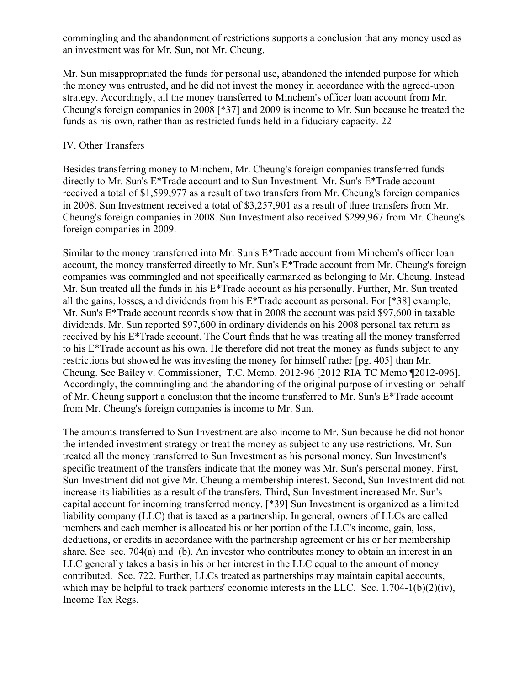commingling and the abandonment of restrictions supports a conclusion that any money used as an investment was for Mr. Sun, not Mr. Cheung.

Mr. Sun misappropriated the funds for personal use, abandoned the intended purpose for which the money was entrusted, and he did not invest the money in accordance with the agreed-upon strategy. Accordingly, all the money transferred to Minchem's officer loan account from Mr. Cheung's foreign companies in 2008 [\*37] and 2009 is income to Mr. Sun because he treated the funds as his own, rather than as restricted funds held in a fiduciary capacity. 22

#### IV. Other Transfers

Besides transferring money to Minchem, Mr. Cheung's foreign companies transferred funds directly to Mr. Sun's E\*Trade account and to Sun Investment. Mr. Sun's E\*Trade account received a total of \$1,599,977 as a result of two transfers from Mr. Cheung's foreign companies in 2008. Sun Investment received a total of \$3,257,901 as a result of three transfers from Mr. Cheung's foreign companies in 2008. Sun Investment also received \$299,967 from Mr. Cheung's foreign companies in 2009.

Similar to the money transferred into Mr. Sun's E\*Trade account from Minchem's officer loan account, the money transferred directly to Mr. Sun's E\*Trade account from Mr. Cheung's foreign companies was commingled and not specifically earmarked as belonging to Mr. Cheung. Instead Mr. Sun treated all the funds in his E\*Trade account as his personally. Further, Mr. Sun treated all the gains, losses, and dividends from his E\*Trade account as personal. For [\*38] example, Mr. Sun's E\*Trade account records show that in 2008 the account was paid \$97,600 in taxable dividends. Mr. Sun reported \$97,600 in ordinary dividends on his 2008 personal tax return as received by his E\*Trade account. The Court finds that he was treating all the money transferred to his  $E^*$ Trade account as his own. He therefore did not treat the money as funds subject to any restrictions but showed he was investing the money for himself rather [pg. 405] than Mr. Cheung. See Bailey v. Commissioner, T.C. Memo. 2012-96 [2012 RIA TC Memo ¶2012-096]. Accordingly, the commingling and the abandoning of the original purpose of investing on behalf of Mr. Cheung support a conclusion that the income transferred to Mr. Sun's E\*Trade account from Mr. Cheung's foreign companies is income to Mr. Sun.

The amounts transferred to Sun Investment are also income to Mr. Sun because he did not honor the intended investment strategy or treat the money as subject to any use restrictions. Mr. Sun treated all the money transferred to Sun Investment as his personal money. Sun Investment's specific treatment of the transfers indicate that the money was Mr. Sun's personal money. First, Sun Investment did not give Mr. Cheung a membership interest. Second, Sun Investment did not increase its liabilities as a result of the transfers. Third, Sun Investment increased Mr. Sun's capital account for incoming transferred money. [\*39] Sun Investment is organized as a limited liability company (LLC) that is taxed as a partnership. In general, owners of LLCs are called members and each member is allocated his or her portion of the LLC's income, gain, loss, deductions, or credits in accordance with the partnership agreement or his or her membership share. See sec. 704(a) and (b). An investor who contributes money to obtain an interest in an LLC generally takes a basis in his or her interest in the LLC equal to the amount of money contributed. Sec. 722. Further, LLCs treated as partnerships may maintain capital accounts, which may be helpful to track partners' economic interests in the LLC. Sec. 1.704-1(b)(2)(iv), Income Tax Regs.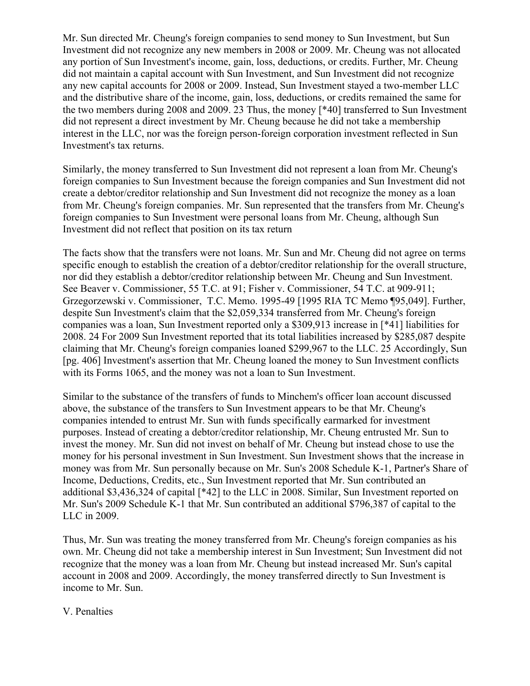Mr. Sun directed Mr. Cheung's foreign companies to send money to Sun Investment, but Sun Investment did not recognize any new members in 2008 or 2009. Mr. Cheung was not allocated any portion of Sun Investment's income, gain, loss, deductions, or credits. Further, Mr. Cheung did not maintain a capital account with Sun Investment, and Sun Investment did not recognize any new capital accounts for 2008 or 2009. Instead, Sun Investment stayed a two-member LLC and the distributive share of the income, gain, loss, deductions, or credits remained the same for the two members during 2008 and 2009. 23 Thus, the money [\*40] transferred to Sun Investment did not represent a direct investment by Mr. Cheung because he did not take a membership interest in the LLC, nor was the foreign person-foreign corporation investment reflected in Sun Investment's tax returns.

Similarly, the money transferred to Sun Investment did not represent a loan from Mr. Cheung's foreign companies to Sun Investment because the foreign companies and Sun Investment did not create a debtor/creditor relationship and Sun Investment did not recognize the money as a loan from Mr. Cheung's foreign companies. Mr. Sun represented that the transfers from Mr. Cheung's foreign companies to Sun Investment were personal loans from Mr. Cheung, although Sun Investment did not reflect that position on its tax return

The facts show that the transfers were not loans. Mr. Sun and Mr. Cheung did not agree on terms specific enough to establish the creation of a debtor/creditor relationship for the overall structure, nor did they establish a debtor/creditor relationship between Mr. Cheung and Sun Investment. See Beaver v. Commissioner, 55 T.C. at 91; Fisher v. Commissioner, 54 T.C. at 909-911; Grzegorzewski v. Commissioner, T.C. Memo. 1995-49 [1995 RIA TC Memo ¶95,049]. Further, despite Sun Investment's claim that the \$2,059,334 transferred from Mr. Cheung's foreign companies was a loan, Sun Investment reported only a \$309,913 increase in [\*41] liabilities for 2008. 24 For 2009 Sun Investment reported that its total liabilities increased by \$285,087 despite claiming that Mr. Cheung's foreign companies loaned \$299,967 to the LLC. 25 Accordingly, Sun [pg. 406] Investment's assertion that Mr. Cheung loaned the money to Sun Investment conflicts with its Forms 1065, and the money was not a loan to Sun Investment.

Similar to the substance of the transfers of funds to Minchem's officer loan account discussed above, the substance of the transfers to Sun Investment appears to be that Mr. Cheung's companies intended to entrust Mr. Sun with funds specifically earmarked for investment purposes. Instead of creating a debtor/creditor relationship, Mr. Cheung entrusted Mr. Sun to invest the money. Mr. Sun did not invest on behalf of Mr. Cheung but instead chose to use the money for his personal investment in Sun Investment. Sun Investment shows that the increase in money was from Mr. Sun personally because on Mr. Sun's 2008 Schedule K-1, Partner's Share of Income, Deductions, Credits, etc., Sun Investment reported that Mr. Sun contributed an additional \$3,436,324 of capital [\*42] to the LLC in 2008. Similar, Sun Investment reported on Mr. Sun's 2009 Schedule K-1 that Mr. Sun contributed an additional \$796,387 of capital to the LLC in 2009.

Thus, Mr. Sun was treating the money transferred from Mr. Cheung's foreign companies as his own. Mr. Cheung did not take a membership interest in Sun Investment; Sun Investment did not recognize that the money was a loan from Mr. Cheung but instead increased Mr. Sun's capital account in 2008 and 2009. Accordingly, the money transferred directly to Sun Investment is income to Mr. Sun.

#### V. Penalties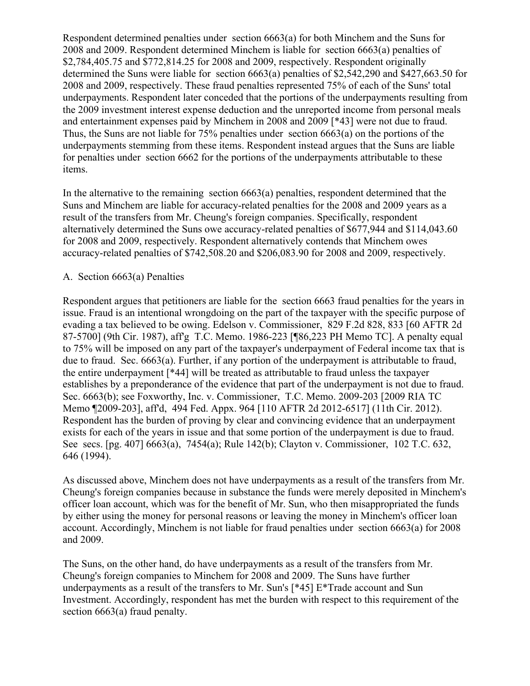Respondent determined penalties under section 6663(a) for both Minchem and the Suns for 2008 and 2009. Respondent determined Minchem is liable for section 6663(a) penalties of \$2,784,405.75 and \$772,814.25 for 2008 and 2009, respectively. Respondent originally determined the Suns were liable for section 6663(a) penalties of \$2,542,290 and \$427,663.50 for 2008 and 2009, respectively. These fraud penalties represented 75% of each of the Suns' total underpayments. Respondent later conceded that the portions of the underpayments resulting from the 2009 investment interest expense deduction and the unreported income from personal meals and entertainment expenses paid by Minchem in 2008 and 2009 [\*43] were not due to fraud. Thus, the Suns are not liable for 75% penalties under section 6663(a) on the portions of the underpayments stemming from these items. Respondent instead argues that the Suns are liable for penalties under section 6662 for the portions of the underpayments attributable to these items.

In the alternative to the remaining section 6663(a) penalties, respondent determined that the Suns and Minchem are liable for accuracy-related penalties for the 2008 and 2009 years as a result of the transfers from Mr. Cheung's foreign companies. Specifically, respondent alternatively determined the Suns owe accuracy-related penalties of \$677,944 and \$114,043.60 for 2008 and 2009, respectively. Respondent alternatively contends that Minchem owes accuracy-related penalties of \$742,508.20 and \$206,083.90 for 2008 and 2009, respectively.

# A. Section 6663(a) Penalties

Respondent argues that petitioners are liable for the section 6663 fraud penalties for the years in issue. Fraud is an intentional wrongdoing on the part of the taxpayer with the specific purpose of evading a tax believed to be owing. Edelson v. Commissioner, 829 F.2d 828, 833 [60 AFTR 2d 87-5700] (9th Cir. 1987), aff'g T.C. Memo. 1986-223 [¶86,223 PH Memo TC]. A penalty equal to 75% will be imposed on any part of the taxpayer's underpayment of Federal income tax that is due to fraud. Sec. 6663(a). Further, if any portion of the underpayment is attributable to fraud, the entire underpayment [\*44] will be treated as attributable to fraud unless the taxpayer establishes by a preponderance of the evidence that part of the underpayment is not due to fraud. Sec. 6663(b); see Foxworthy, Inc. v. Commissioner, T.C. Memo. 2009-203 [2009 RIA TC Memo ¶2009-203], aff'd, 494 Fed. Appx. 964 [110 AFTR 2d 2012-6517] (11th Cir. 2012). Respondent has the burden of proving by clear and convincing evidence that an underpayment exists for each of the years in issue and that some portion of the underpayment is due to fraud. See secs. [pg. 407] 6663(a), 7454(a); Rule 142(b); Clayton v. Commissioner, 102 T.C. 632, 646 (1994).

As discussed above, Minchem does not have underpayments as a result of the transfers from Mr. Cheung's foreign companies because in substance the funds were merely deposited in Minchem's officer loan account, which was for the benefit of Mr. Sun, who then misappropriated the funds by either using the money for personal reasons or leaving the money in Minchem's officer loan account. Accordingly, Minchem is not liable for fraud penalties under section 6663(a) for 2008 and 2009.

The Suns, on the other hand, do have underpayments as a result of the transfers from Mr. Cheung's foreign companies to Minchem for 2008 and 2009. The Suns have further underpayments as a result of the transfers to Mr. Sun's [\*45] E\*Trade account and Sun Investment. Accordingly, respondent has met the burden with respect to this requirement of the section 6663(a) fraud penalty.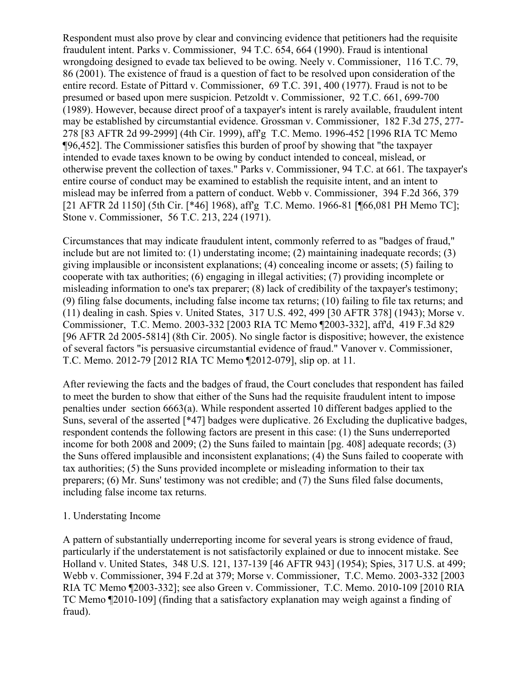Respondent must also prove by clear and convincing evidence that petitioners had the requisite fraudulent intent. Parks v. Commissioner, 94 T.C. 654, 664 (1990). Fraud is intentional wrongdoing designed to evade tax believed to be owing. Neely v. Commissioner, 116 T.C. 79, 86 (2001). The existence of fraud is a question of fact to be resolved upon consideration of the entire record. Estate of Pittard v. Commissioner, 69 T.C. 391, 400 (1977). Fraud is not to be presumed or based upon mere suspicion. Petzoldt v. Commissioner, 92 T.C. 661, 699-700 (1989). However, because direct proof of a taxpayer's intent is rarely available, fraudulent intent may be established by circumstantial evidence. Grossman v. Commissioner, 182 F.3d 275, 277- 278 [83 AFTR 2d 99-2999] (4th Cir. 1999), aff'g T.C. Memo. 1996-452 [1996 RIA TC Memo ¶96,452]. The Commissioner satisfies this burden of proof by showing that "the taxpayer intended to evade taxes known to be owing by conduct intended to conceal, mislead, or otherwise prevent the collection of taxes." Parks v. Commissioner, 94 T.C. at 661. The taxpayer's entire course of conduct may be examined to establish the requisite intent, and an intent to mislead may be inferred from a pattern of conduct. Webb v. Commissioner, 394 F.2d 366, 379 [21 AFTR 2d 1150] (5th Cir. [\*46] 1968), aff'g T.C. Memo. 1966-81 [¶66,081 PH Memo TC]; Stone v. Commissioner, 56 T.C. 213, 224 (1971).

Circumstances that may indicate fraudulent intent, commonly referred to as "badges of fraud," include but are not limited to: (1) understating income; (2) maintaining inadequate records; (3) giving implausible or inconsistent explanations; (4) concealing income or assets; (5) failing to cooperate with tax authorities; (6) engaging in illegal activities; (7) providing incomplete or misleading information to one's tax preparer; (8) lack of credibility of the taxpayer's testimony; (9) filing false documents, including false income tax returns; (10) failing to file tax returns; and (11) dealing in cash. Spies v. United States, 317 U.S. 492, 499 [30 AFTR 378] (1943); Morse v. Commissioner, T.C. Memo. 2003-332 [2003 RIA TC Memo ¶2003-332], aff'd, 419 F.3d 829 [96 AFTR 2d 2005-5814] (8th Cir. 2005). No single factor is dispositive; however, the existence of several factors "is persuasive circumstantial evidence of fraud." Vanover v. Commissioner, T.C. Memo. 2012-79 [2012 RIA TC Memo ¶2012-079], slip op. at 11.

After reviewing the facts and the badges of fraud, the Court concludes that respondent has failed to meet the burden to show that either of the Suns had the requisite fraudulent intent to impose penalties under section 6663(a). While respondent asserted 10 different badges applied to the Suns, several of the asserted [\*47] badges were duplicative. 26 Excluding the duplicative badges, respondent contends the following factors are present in this case: (1) the Suns underreported income for both 2008 and 2009; (2) the Suns failed to maintain [pg. 408] adequate records; (3) the Suns offered implausible and inconsistent explanations; (4) the Suns failed to cooperate with tax authorities; (5) the Suns provided incomplete or misleading information to their tax preparers; (6) Mr. Suns' testimony was not credible; and (7) the Suns filed false documents, including false income tax returns.

#### 1. Understating Income

A pattern of substantially underreporting income for several years is strong evidence of fraud, particularly if the understatement is not satisfactorily explained or due to innocent mistake. See Holland v. United States, 348 U.S. 121, 137-139 [46 AFTR 943] (1954); Spies, 317 U.S. at 499; Webb v. Commissioner, 394 F.2d at 379; Morse v. Commissioner, T.C. Memo. 2003-332 [2003 RIA TC Memo ¶2003-332]; see also Green v. Commissioner, T.C. Memo. 2010-109 [2010 RIA TC Memo ¶2010-109] (finding that a satisfactory explanation may weigh against a finding of fraud).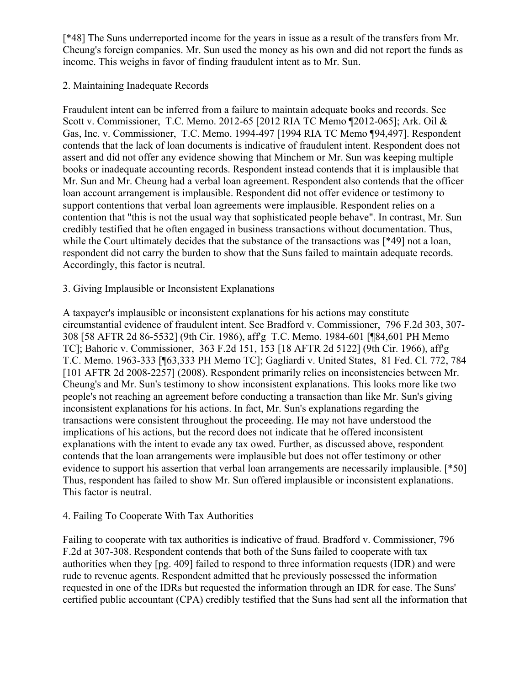[\*48] The Suns underreported income for the years in issue as a result of the transfers from Mr. Cheung's foreign companies. Mr. Sun used the money as his own and did not report the funds as income. This weighs in favor of finding fraudulent intent as to Mr. Sun.

# 2. Maintaining Inadequate Records

Fraudulent intent can be inferred from a failure to maintain adequate books and records. See Scott v. Commissioner, T.C. Memo. 2012-65 [2012 RIA TC Memo ¶2012-065]; Ark. Oil & Gas, Inc. v. Commissioner, T.C. Memo. 1994-497 [1994 RIA TC Memo ¶94,497]. Respondent contends that the lack of loan documents is indicative of fraudulent intent. Respondent does not assert and did not offer any evidence showing that Minchem or Mr. Sun was keeping multiple books or inadequate accounting records. Respondent instead contends that it is implausible that Mr. Sun and Mr. Cheung had a verbal loan agreement. Respondent also contends that the officer loan account arrangement is implausible. Respondent did not offer evidence or testimony to support contentions that verbal loan agreements were implausible. Respondent relies on a contention that "this is not the usual way that sophisticated people behave". In contrast, Mr. Sun credibly testified that he often engaged in business transactions without documentation. Thus, while the Court ultimately decides that the substance of the transactions was [\*49] not a loan, respondent did not carry the burden to show that the Suns failed to maintain adequate records. Accordingly, this factor is neutral.

# 3. Giving Implausible or Inconsistent Explanations

A taxpayer's implausible or inconsistent explanations for his actions may constitute circumstantial evidence of fraudulent intent. See Bradford v. Commissioner, 796 F.2d 303, 307- 308 [58 AFTR 2d 86-5532] (9th Cir. 1986), aff'g T.C. Memo. 1984-601 [¶84,601 PH Memo TC]; Bahoric v. Commissioner, 363 F.2d 151, 153 [18 AFTR 2d 5122] (9th Cir. 1966), aff'g T.C. Memo. 1963-333 [¶63,333 PH Memo TC]; Gagliardi v. United States, 81 Fed. Cl. 772, 784 [101 AFTR 2d 2008-2257] (2008). Respondent primarily relies on inconsistencies between Mr. Cheung's and Mr. Sun's testimony to show inconsistent explanations. This looks more like two people's not reaching an agreement before conducting a transaction than like Mr. Sun's giving inconsistent explanations for his actions. In fact, Mr. Sun's explanations regarding the transactions were consistent throughout the proceeding. He may not have understood the implications of his actions, but the record does not indicate that he offered inconsistent explanations with the intent to evade any tax owed. Further, as discussed above, respondent contends that the loan arrangements were implausible but does not offer testimony or other evidence to support his assertion that verbal loan arrangements are necessarily implausible. [\*50] Thus, respondent has failed to show Mr. Sun offered implausible or inconsistent explanations. This factor is neutral.

#### 4. Failing To Cooperate With Tax Authorities

Failing to cooperate with tax authorities is indicative of fraud. Bradford v. Commissioner, 796 F.2d at 307-308. Respondent contends that both of the Suns failed to cooperate with tax authorities when they [pg. 409] failed to respond to three information requests (IDR) and were rude to revenue agents. Respondent admitted that he previously possessed the information requested in one of the IDRs but requested the information through an IDR for ease. The Suns' certified public accountant (CPA) credibly testified that the Suns had sent all the information that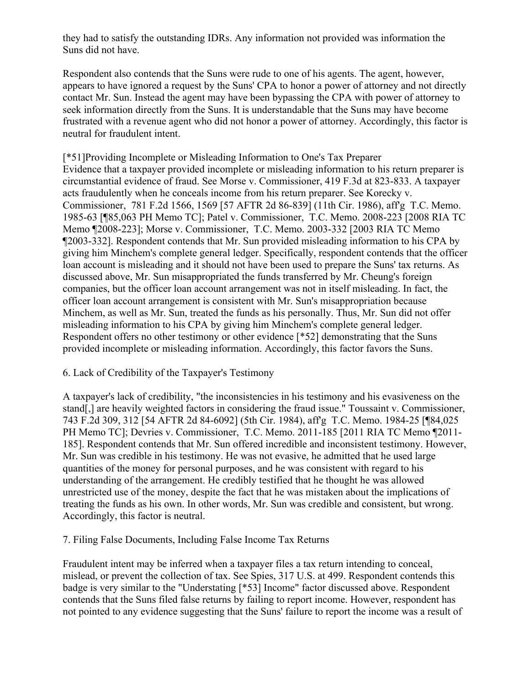they had to satisfy the outstanding IDRs. Any information not provided was information the Suns did not have.

Respondent also contends that the Suns were rude to one of his agents. The agent, however, appears to have ignored a request by the Suns' CPA to honor a power of attorney and not directly contact Mr. Sun. Instead the agent may have been bypassing the CPA with power of attorney to seek information directly from the Suns. It is understandable that the Suns may have become frustrated with a revenue agent who did not honor a power of attorney. Accordingly, this factor is neutral for fraudulent intent.

[\*51]Providing Incomplete or Misleading Information to One's Tax Preparer Evidence that a taxpayer provided incomplete or misleading information to his return preparer is circumstantial evidence of fraud. See Morse v. Commissioner, 419 F.3d at 823-833. A taxpayer acts fraudulently when he conceals income from his return preparer. See Korecky v. Commissioner, 781 F.2d 1566, 1569 [57 AFTR 2d 86-839] (11th Cir. 1986), aff'g T.C. Memo. 1985-63 [¶85,063 PH Memo TC]; Patel v. Commissioner, T.C. Memo. 2008-223 [2008 RIA TC Memo ¶2008-223]; Morse v. Commissioner, T.C. Memo. 2003-332 [2003 RIA TC Memo ¶2003-332]. Respondent contends that Mr. Sun provided misleading information to his CPA by giving him Minchem's complete general ledger. Specifically, respondent contends that the officer loan account is misleading and it should not have been used to prepare the Suns' tax returns. As discussed above, Mr. Sun misappropriated the funds transferred by Mr. Cheung's foreign companies, but the officer loan account arrangement was not in itself misleading. In fact, the officer loan account arrangement is consistent with Mr. Sun's misappropriation because Minchem, as well as Mr. Sun, treated the funds as his personally. Thus, Mr. Sun did not offer misleading information to his CPA by giving him Minchem's complete general ledger. Respondent offers no other testimony or other evidence [\*52] demonstrating that the Suns provided incomplete or misleading information. Accordingly, this factor favors the Suns.

# 6. Lack of Credibility of the Taxpayer's Testimony

A taxpayer's lack of credibility, "the inconsistencies in his testimony and his evasiveness on the stand[,] are heavily weighted factors in considering the fraud issue." Toussaint v. Commissioner, 743 F.2d 309, 312 [54 AFTR 2d 84-6092] (5th Cir. 1984), aff'g T.C. Memo. 1984-25 [¶84,025 PH Memo TC]; Devries v. Commissioner, T.C. Memo. 2011-185 [2011 RIA TC Memo ¶2011- 185]. Respondent contends that Mr. Sun offered incredible and inconsistent testimony. However, Mr. Sun was credible in his testimony. He was not evasive, he admitted that he used large quantities of the money for personal purposes, and he was consistent with regard to his understanding of the arrangement. He credibly testified that he thought he was allowed unrestricted use of the money, despite the fact that he was mistaken about the implications of treating the funds as his own. In other words, Mr. Sun was credible and consistent, but wrong. Accordingly, this factor is neutral.

# 7. Filing False Documents, Including False Income Tax Returns

Fraudulent intent may be inferred when a taxpayer files a tax return intending to conceal, mislead, or prevent the collection of tax. See Spies, 317 U.S. at 499. Respondent contends this badge is very similar to the "Understating [\*53] Income" factor discussed above. Respondent contends that the Suns filed false returns by failing to report income. However, respondent has not pointed to any evidence suggesting that the Suns' failure to report the income was a result of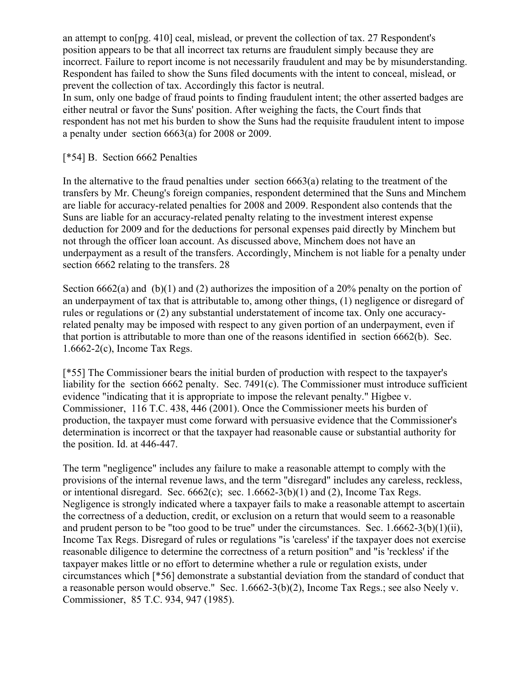an attempt to con[pg. 410] ceal, mislead, or prevent the collection of tax. 27 Respondent's position appears to be that all incorrect tax returns are fraudulent simply because they are incorrect. Failure to report income is not necessarily fraudulent and may be by misunderstanding. Respondent has failed to show the Suns filed documents with the intent to conceal, mislead, or prevent the collection of tax. Accordingly this factor is neutral.

In sum, only one badge of fraud points to finding fraudulent intent; the other asserted badges are either neutral or favor the Suns' position. After weighing the facts, the Court finds that respondent has not met his burden to show the Suns had the requisite fraudulent intent to impose a penalty under section 6663(a) for 2008 or 2009.

## [\*54] B. Section 6662 Penalties

In the alternative to the fraud penalties under section 6663(a) relating to the treatment of the transfers by Mr. Cheung's foreign companies, respondent determined that the Suns and Minchem are liable for accuracy-related penalties for 2008 and 2009. Respondent also contends that the Suns are liable for an accuracy-related penalty relating to the investment interest expense deduction for 2009 and for the deductions for personal expenses paid directly by Minchem but not through the officer loan account. As discussed above, Minchem does not have an underpayment as a result of the transfers. Accordingly, Minchem is not liable for a penalty under section 6662 relating to the transfers. 28

Section 6662(a) and (b)(1) and (2) authorizes the imposition of a 20% penalty on the portion of an underpayment of tax that is attributable to, among other things, (1) negligence or disregard of rules or regulations or (2) any substantial understatement of income tax. Only one accuracyrelated penalty may be imposed with respect to any given portion of an underpayment, even if that portion is attributable to more than one of the reasons identified in section 6662(b). Sec. 1.6662-2(c), Income Tax Regs.

[\*55] The Commissioner bears the initial burden of production with respect to the taxpayer's liability for the section 6662 penalty. Sec. 7491(c). The Commissioner must introduce sufficient evidence "indicating that it is appropriate to impose the relevant penalty." Higbee v. Commissioner, 116 T.C. 438, 446 (2001). Once the Commissioner meets his burden of production, the taxpayer must come forward with persuasive evidence that the Commissioner's determination is incorrect or that the taxpayer had reasonable cause or substantial authority for the position. Id. at 446-447.

The term "negligence" includes any failure to make a reasonable attempt to comply with the provisions of the internal revenue laws, and the term "disregard" includes any careless, reckless, or intentional disregard. Sec.  $6662(c)$ ; sec.  $1.6662-3(b)(1)$  and (2), Income Tax Regs. Negligence is strongly indicated where a taxpayer fails to make a reasonable attempt to ascertain the correctness of a deduction, credit, or exclusion on a return that would seem to a reasonable and prudent person to be "too good to be true" under the circumstances. Sec. 1.6662-3(b)(1)(ii), Income Tax Regs. Disregard of rules or regulations "is 'careless' if the taxpayer does not exercise reasonable diligence to determine the correctness of a return position" and "is 'reckless' if the taxpayer makes little or no effort to determine whether a rule or regulation exists, under circumstances which [\*56] demonstrate a substantial deviation from the standard of conduct that a reasonable person would observe." Sec. 1.6662-3(b)(2), Income Tax Regs.; see also Neely v. Commissioner, 85 T.C. 934, 947 (1985).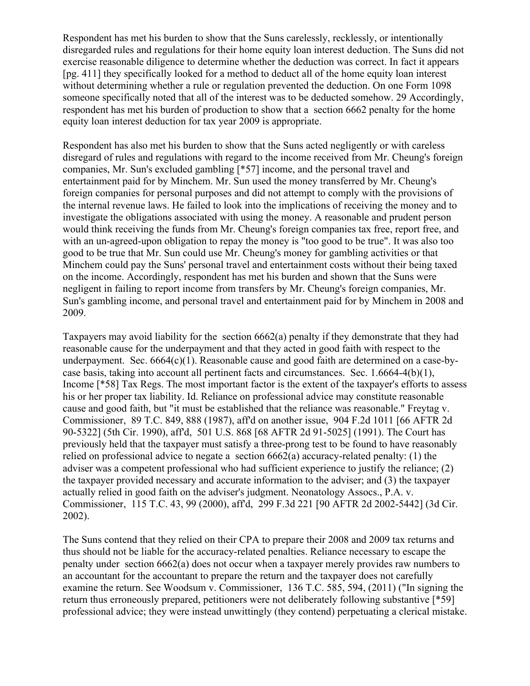Respondent has met his burden to show that the Suns carelessly, recklessly, or intentionally disregarded rules and regulations for their home equity loan interest deduction. The Suns did not exercise reasonable diligence to determine whether the deduction was correct. In fact it appears [pg. 411] they specifically looked for a method to deduct all of the home equity loan interest without determining whether a rule or regulation prevented the deduction. On one Form 1098 someone specifically noted that all of the interest was to be deducted somehow. 29 Accordingly, respondent has met his burden of production to show that a section 6662 penalty for the home equity loan interest deduction for tax year 2009 is appropriate.

Respondent has also met his burden to show that the Suns acted negligently or with careless disregard of rules and regulations with regard to the income received from Mr. Cheung's foreign companies, Mr. Sun's excluded gambling [\*57] income, and the personal travel and entertainment paid for by Minchem. Mr. Sun used the money transferred by Mr. Cheung's foreign companies for personal purposes and did not attempt to comply with the provisions of the internal revenue laws. He failed to look into the implications of receiving the money and to investigate the obligations associated with using the money. A reasonable and prudent person would think receiving the funds from Mr. Cheung's foreign companies tax free, report free, and with an un-agreed-upon obligation to repay the money is "too good to be true". It was also too good to be true that Mr. Sun could use Mr. Cheung's money for gambling activities or that Minchem could pay the Suns' personal travel and entertainment costs without their being taxed on the income. Accordingly, respondent has met his burden and shown that the Suns were negligent in failing to report income from transfers by Mr. Cheung's foreign companies, Mr. Sun's gambling income, and personal travel and entertainment paid for by Minchem in 2008 and 2009.

Taxpayers may avoid liability for the section 6662(a) penalty if they demonstrate that they had reasonable cause for the underpayment and that they acted in good faith with respect to the underpayment. Sec.  $664(c)(1)$ . Reasonable cause and good faith are determined on a case-bycase basis, taking into account all pertinent facts and circumstances. Sec. 1.6664-4(b)(1), Income [\*58] Tax Regs. The most important factor is the extent of the taxpayer's efforts to assess his or her proper tax liability. Id. Reliance on professional advice may constitute reasonable cause and good faith, but "it must be established that the reliance was reasonable." Freytag v. Commissioner, 89 T.C. 849, 888 (1987), aff'd on another issue, 904 F.2d 1011 [66 AFTR 2d 90-5322] (5th Cir. 1990), aff'd, 501 U.S. 868 [68 AFTR 2d 91-5025] (1991). The Court has previously held that the taxpayer must satisfy a three-prong test to be found to have reasonably relied on professional advice to negate a section 6662(a) accuracy-related penalty: (1) the adviser was a competent professional who had sufficient experience to justify the reliance; (2) the taxpayer provided necessary and accurate information to the adviser; and (3) the taxpayer actually relied in good faith on the adviser's judgment. Neonatology Assocs., P.A. v. Commissioner, 115 T.C. 43, 99 (2000), aff'd, 299 F.3d 221 [90 AFTR 2d 2002-5442] (3d Cir. 2002).

The Suns contend that they relied on their CPA to prepare their 2008 and 2009 tax returns and thus should not be liable for the accuracy-related penalties. Reliance necessary to escape the penalty under section 6662(a) does not occur when a taxpayer merely provides raw numbers to an accountant for the accountant to prepare the return and the taxpayer does not carefully examine the return. See Woodsum v. Commissioner, 136 T.C. 585, 594, (2011) ("In signing the return thus erroneously prepared, petitioners were not deliberately following substantive [\*59] professional advice; they were instead unwittingly (they contend) perpetuating a clerical mistake.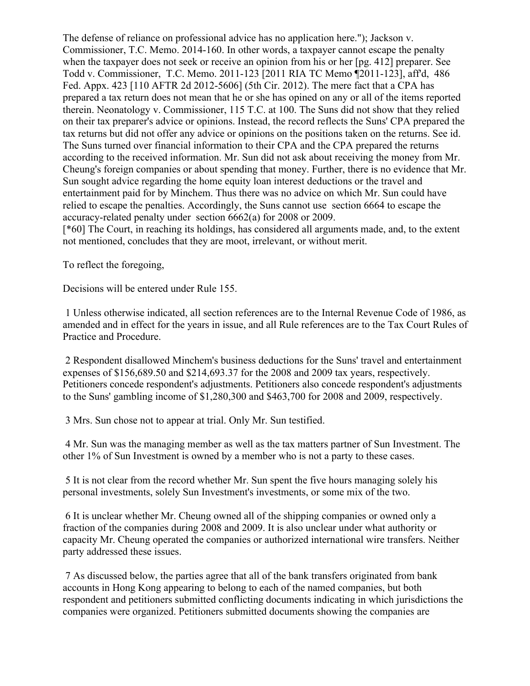The defense of reliance on professional advice has no application here."); Jackson v. Commissioner, T.C. Memo. 2014-160. In other words, a taxpayer cannot escape the penalty when the taxpayer does not seek or receive an opinion from his or her [pg. 412] preparer. See Todd v. Commissioner, T.C. Memo. 2011-123 [2011 RIA TC Memo ¶2011-123], aff'd, 486 Fed. Appx. 423 [110 AFTR 2d 2012-5606] (5th Cir. 2012). The mere fact that a CPA has prepared a tax return does not mean that he or she has opined on any or all of the items reported therein. Neonatology v. Commissioner, 115 T.C. at 100. The Suns did not show that they relied on their tax preparer's advice or opinions. Instead, the record reflects the Suns' CPA prepared the tax returns but did not offer any advice or opinions on the positions taken on the returns. See id. The Suns turned over financial information to their CPA and the CPA prepared the returns according to the received information. Mr. Sun did not ask about receiving the money from Mr. Cheung's foreign companies or about spending that money. Further, there is no evidence that Mr. Sun sought advice regarding the home equity loan interest deductions or the travel and entertainment paid for by Minchem. Thus there was no advice on which Mr. Sun could have relied to escape the penalties. Accordingly, the Suns cannot use section 6664 to escape the accuracy-related penalty under section 6662(a) for 2008 or 2009.

[\*60] The Court, in reaching its holdings, has considered all arguments made, and, to the extent not mentioned, concludes that they are moot, irrelevant, or without merit.

To reflect the foregoing,

Decisions will be entered under Rule 155.

1 Unless otherwise indicated, all section references are to the Internal Revenue Code of 1986, as amended and in effect for the years in issue, and all Rule references are to the Tax Court Rules of Practice and Procedure.

2 Respondent disallowed Minchem's business deductions for the Suns' travel and entertainment expenses of \$156,689.50 and \$214,693.37 for the 2008 and 2009 tax years, respectively. Petitioners concede respondent's adjustments. Petitioners also concede respondent's adjustments to the Suns' gambling income of \$1,280,300 and \$463,700 for 2008 and 2009, respectively.

3 Mrs. Sun chose not to appear at trial. Only Mr. Sun testified.

4 Mr. Sun was the managing member as well as the tax matters partner of Sun Investment. The other 1% of Sun Investment is owned by a member who is not a party to these cases.

5 It is not clear from the record whether Mr. Sun spent the five hours managing solely his personal investments, solely Sun Investment's investments, or some mix of the two.

6 It is unclear whether Mr. Cheung owned all of the shipping companies or owned only a fraction of the companies during 2008 and 2009. It is also unclear under what authority or capacity Mr. Cheung operated the companies or authorized international wire transfers. Neither party addressed these issues.

7 As discussed below, the parties agree that all of the bank transfers originated from bank accounts in Hong Kong appearing to belong to each of the named companies, but both respondent and petitioners submitted conflicting documents indicating in which jurisdictions the companies were organized. Petitioners submitted documents showing the companies are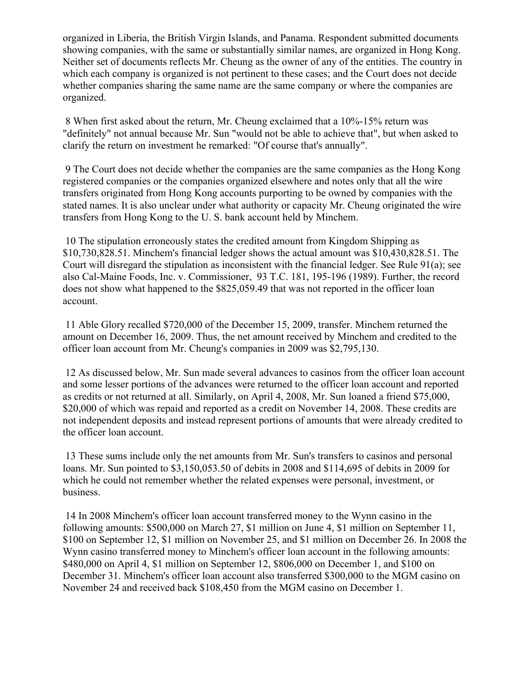organized in Liberia, the British Virgin Islands, and Panama. Respondent submitted documents showing companies, with the same or substantially similar names, are organized in Hong Kong. Neither set of documents reflects Mr. Cheung as the owner of any of the entities. The country in which each company is organized is not pertinent to these cases; and the Court does not decide whether companies sharing the same name are the same company or where the companies are organized.

8 When first asked about the return, Mr. Cheung exclaimed that a 10%-15% return was "definitely" not annual because Mr. Sun "would not be able to achieve that", but when asked to clarify the return on investment he remarked: "Of course that's annually".

9 The Court does not decide whether the companies are the same companies as the Hong Kong registered companies or the companies organized elsewhere and notes only that all the wire transfers originated from Hong Kong accounts purporting to be owned by companies with the stated names. It is also unclear under what authority or capacity Mr. Cheung originated the wire transfers from Hong Kong to the U. S. bank account held by Minchem.

10 The stipulation erroneously states the credited amount from Kingdom Shipping as \$10,730,828.51. Minchem's financial ledger shows the actual amount was \$10,430,828.51. The Court will disregard the stipulation as inconsistent with the financial ledger. See Rule 91(a); see also Cal-Maine Foods, Inc. v. Commissioner, 93 T.C. 181, 195-196 (1989). Further, the record does not show what happened to the \$825,059.49 that was not reported in the officer loan account.

11 Able Glory recalled \$720,000 of the December 15, 2009, transfer. Minchem returned the amount on December 16, 2009. Thus, the net amount received by Minchem and credited to the officer loan account from Mr. Cheung's companies in 2009 was \$2,795,130.

12 As discussed below, Mr. Sun made several advances to casinos from the officer loan account and some lesser portions of the advances were returned to the officer loan account and reported as credits or not returned at all. Similarly, on April 4, 2008, Mr. Sun loaned a friend \$75,000, \$20,000 of which was repaid and reported as a credit on November 14, 2008. These credits are not independent deposits and instead represent portions of amounts that were already credited to the officer loan account.

13 These sums include only the net amounts from Mr. Sun's transfers to casinos and personal loans. Mr. Sun pointed to \$3,150,053.50 of debits in 2008 and \$114,695 of debits in 2009 for which he could not remember whether the related expenses were personal, investment, or business.

14 In 2008 Minchem's officer loan account transferred money to the Wynn casino in the following amounts: \$500,000 on March 27, \$1 million on June 4, \$1 million on September 11, \$100 on September 12, \$1 million on November 25, and \$1 million on December 26. In 2008 the Wynn casino transferred money to Minchem's officer loan account in the following amounts: \$480,000 on April 4, \$1 million on September 12, \$806,000 on December 1, and \$100 on December 31. Minchem's officer loan account also transferred \$300,000 to the MGM casino on November 24 and received back \$108,450 from the MGM casino on December 1.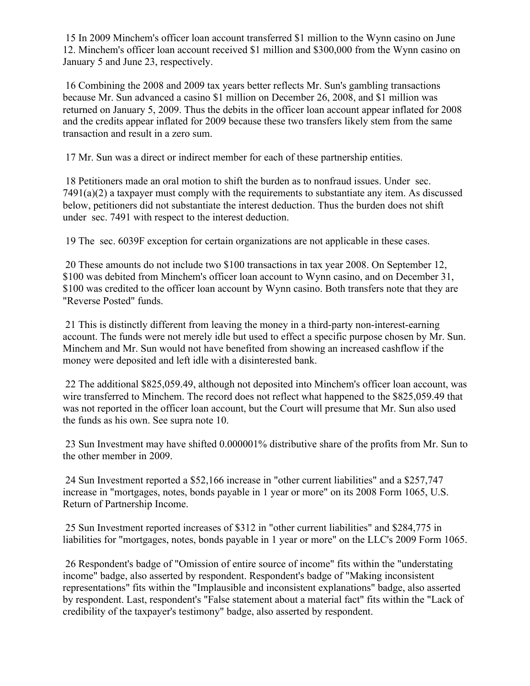15 In 2009 Minchem's officer loan account transferred \$1 million to the Wynn casino on June 12. Minchem's officer loan account received \$1 million and \$300,000 from the Wynn casino on January 5 and June 23, respectively.

16 Combining the 2008 and 2009 tax years better reflects Mr. Sun's gambling transactions because Mr. Sun advanced a casino \$1 million on December 26, 2008, and \$1 million was returned on January 5, 2009. Thus the debits in the officer loan account appear inflated for 2008 and the credits appear inflated for 2009 because these two transfers likely stem from the same transaction and result in a zero sum.

17 Mr. Sun was a direct or indirect member for each of these partnership entities.

18 Petitioners made an oral motion to shift the burden as to nonfraud issues. Under sec. 7491(a)(2) a taxpayer must comply with the requirements to substantiate any item. As discussed below, petitioners did not substantiate the interest deduction. Thus the burden does not shift under sec. 7491 with respect to the interest deduction.

19 The sec. 6039F exception for certain organizations are not applicable in these cases.

20 These amounts do not include two \$100 transactions in tax year 2008. On September 12, \$100 was debited from Minchem's officer loan account to Wynn casino, and on December 31, \$100 was credited to the officer loan account by Wynn casino. Both transfers note that they are "Reverse Posted" funds.

21 This is distinctly different from leaving the money in a third-party non-interest-earning account. The funds were not merely idle but used to effect a specific purpose chosen by Mr. Sun. Minchem and Mr. Sun would not have benefited from showing an increased cashflow if the money were deposited and left idle with a disinterested bank.

22 The additional \$825,059.49, although not deposited into Minchem's officer loan account, was wire transferred to Minchem. The record does not reflect what happened to the \$825,059.49 that was not reported in the officer loan account, but the Court will presume that Mr. Sun also used the funds as his own. See supra note 10.

23 Sun Investment may have shifted 0.000001% distributive share of the profits from Mr. Sun to the other member in 2009.

24 Sun Investment reported a \$52,166 increase in "other current liabilities" and a \$257,747 increase in "mortgages, notes, bonds payable in 1 year or more" on its 2008 Form 1065, U.S. Return of Partnership Income.

25 Sun Investment reported increases of \$312 in "other current liabilities" and \$284,775 in liabilities for "mortgages, notes, bonds payable in 1 year or more" on the LLC's 2009 Form 1065.

26 Respondent's badge of "Omission of entire source of income" fits within the "understating income" badge, also asserted by respondent. Respondent's badge of "Making inconsistent representations" fits within the "Implausible and inconsistent explanations" badge, also asserted by respondent. Last, respondent's "False statement about a material fact" fits within the "Lack of credibility of the taxpayer's testimony" badge, also asserted by respondent.